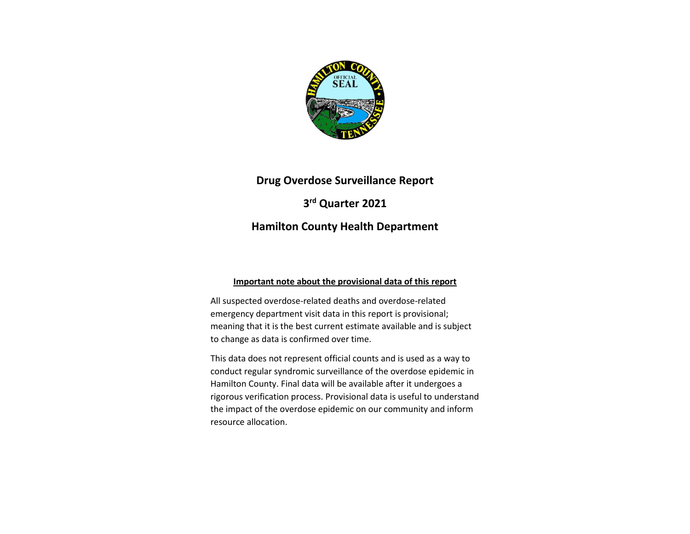

# **Drug Overdose Surveillance Report**

**3 rd Quarter 2021**

## **Hamilton County Health Department**

### **Important note about the provisional data of this report**

All suspected overdose-related deaths and overdose-related emergency department visit data in this report is provisional; meaning that it is the best current estimate available and is subject to change as data is confirmed over time.

This data does not represent official counts and is used as a way to conduct regular syndromic surveillance of the overdose epidemic in Hamilton County. Final data will be available after it undergoes a rigorous verification process. Provisional data is useful to understand the impact of the overdose epidemic on our community and inform resource allocation.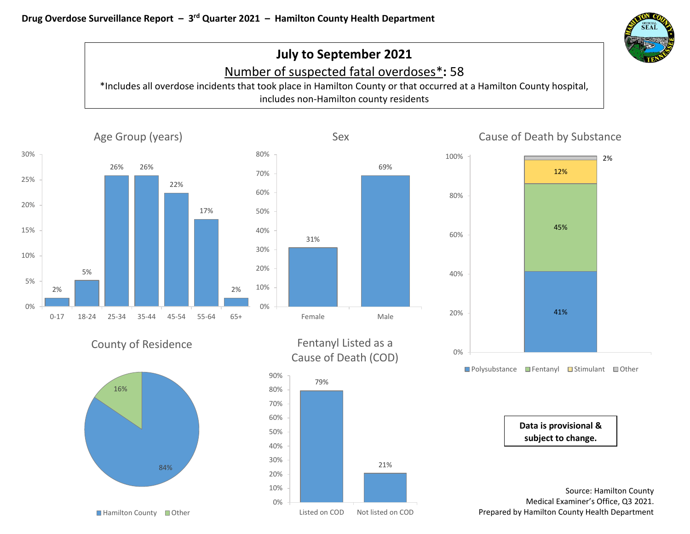

# **July to September 2021** Number of suspected fatal overdoses\***:** 58

\*Includes all overdose incidents that took place in Hamilton County or that occurred at a Hamilton County hospital, includes non-Hamilton county residents



**Data is provisional & subject to change.**

Source: Hamilton County Medical Examiner's Office, Q3 2021. Prepared by Hamilton County Health Department



■ Hamilton County ■ Other

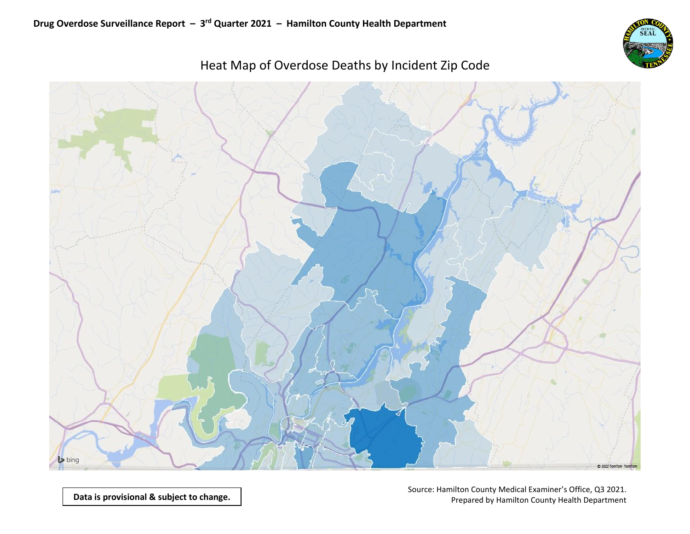

# bing C 2022 TomTom TomTom

Heat Map of Overdose Deaths by Incident Zip Code

**Data is provisional & subject to change.**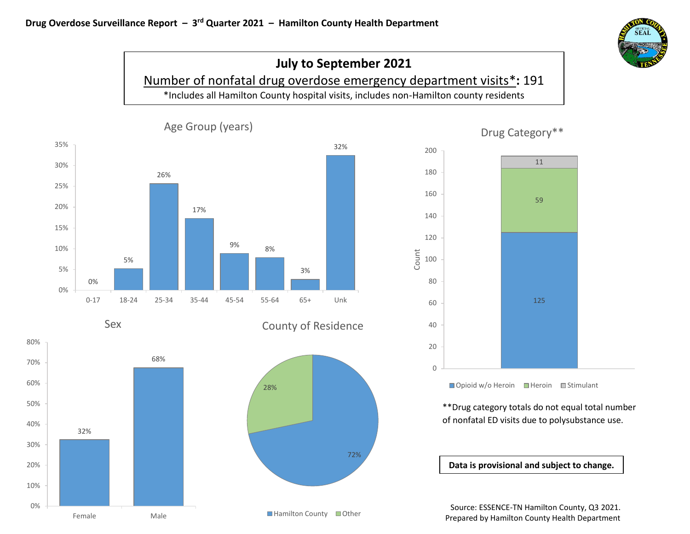













■ Opioid w/o Heroin ■ Heroin ■ Stimulant

\*\*Drug category totals do not equal total number of nonfatal ED visits due to polysubstance use.

**Data is provisional and subject to change.**

Source: ESSENCE-TN Hamilton County, Q3 2021. Prepared by Hamilton County Health Department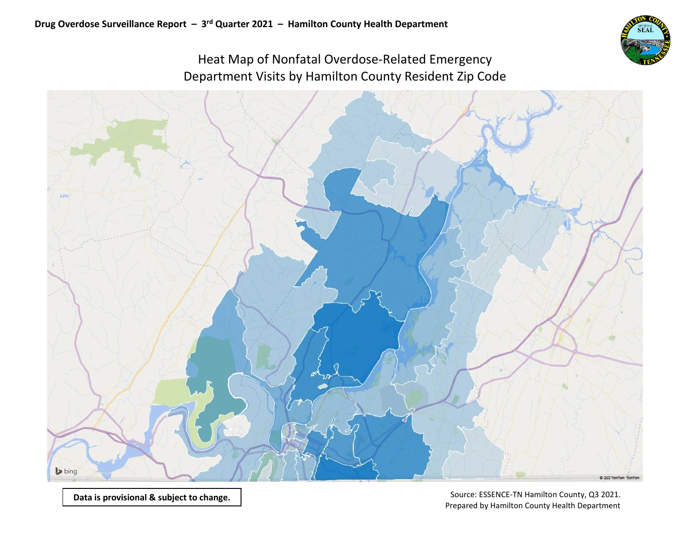

# Heat Map of Nonfatal Overdose-Related Emergency Department Visits by Hamilton County Resident Zip Code

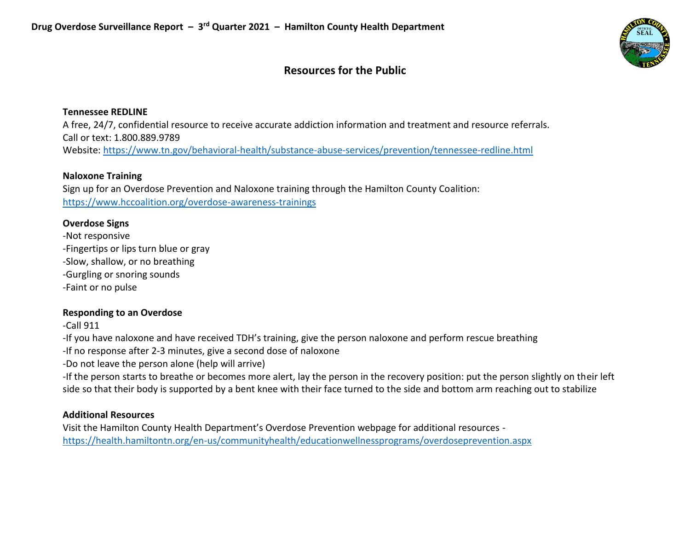

# **Resources for the Public**

### **Tennessee REDLINE**

A free, 24/7, confidential resource to receive accurate addiction information and treatment and resource referrals. Call or text: 1.800.889.9789 Website:<https://www.tn.gov/behavioral-health/substance-abuse-services/prevention/tennessee-redline.html>

### **Naloxone Training**

Sign up for an Overdose Prevention and Naloxone training through the Hamilton County Coalition: <https://www.hccoalition.org/overdose-awareness-trainings>

### **Overdose Signs**

-Not responsive -Fingertips or lips turn blue or gray -Slow, shallow, or no breathing -Gurgling or snoring sounds -Faint or no pulse

### **Responding to an Overdose**

-Call 911

-If you have naloxone and have received TDH's training, give the person naloxone and perform rescue breathing

-If no response after 2-3 minutes, give a second dose of naloxone

-Do not leave the person alone (help will arrive)

-If the person starts to breathe or becomes more alert, lay the person in the recovery position: put the person slightly on their left side so that their body is supported by a bent knee with their face turned to the side and bottom arm reaching out to stabilize

### **Additional Resources**

Visit the Hamilton County Health Department's Overdose Prevention webpage for additional resources <https://health.hamiltontn.org/en-us/communityhealth/educationwellnessprograms/overdoseprevention.aspx>